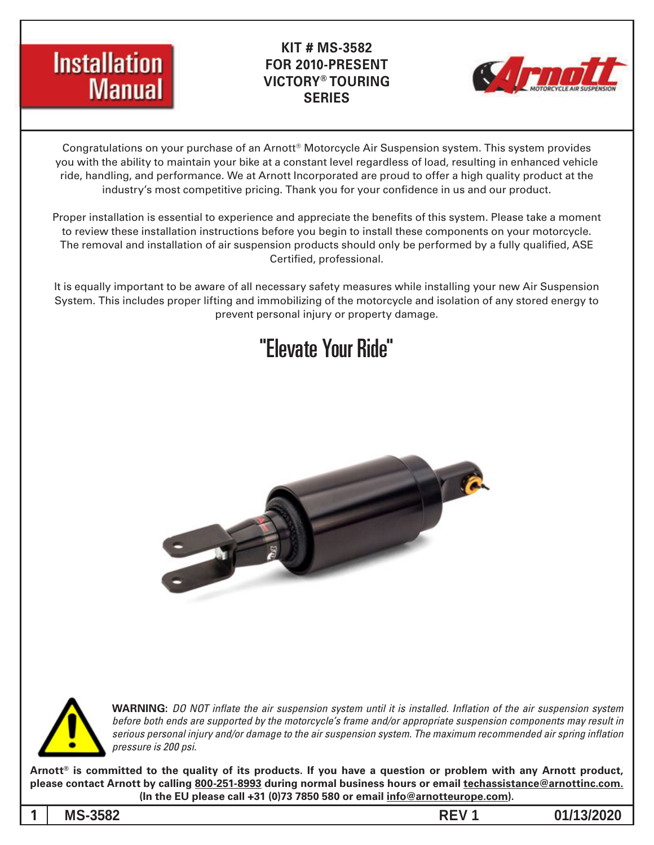

### **KIT # MS-3582 FOR 2010-PRESENT TOURING® VICTORY SERIES**



Congratulations on your purchase of an Arnott<sup>®</sup> Motorcycle Air Suspension system. This system provides you with the ability to maintain your bike at a constant level regardless of load, resulting in enhanced vehicle ride, handling, and performance. We at Arnott Incorporated are proud to offer a high quality product at the industry's most competitive pricing. Thank you for your confidence in us and our product.

Proper installation is essential to experience and appreciate the benefits of this system. Please take a moment to review these installation instructions before you begin to install these components on your motorcycle. The removal and installation of air suspension products should only be performed by a fully qualified, ASE Certified, professional.

It is equally important to be aware of all necessary safety measures while installing your new Air Suspension System. This includes proper lifting and immobilizing of the motorcycle and isolation of any stored energy to prevent personal injury or property damage.

## "Elevate Your Ride"





**WARNING:** DO NOT inflate the air suspension system until it is installed. Inflation of the air suspension system *before both ends are supported by the motorcycle's frame and/or appropriate suspension components may result in* serious personal injury and/or damage to the air suspension system. The maximum recommended air spring inflation *pressure* is 200 psi.

Arnott<sup>®</sup> is committed to the quality of its products. If you have a question or problem with any Arnott product, please contact Arnott by calling 800-251-8993 during normal business hours or email techassistance@arnottinc.com. (In the EU please call +31 (0)73 7850 580 or email **info@arnotteurope.com**).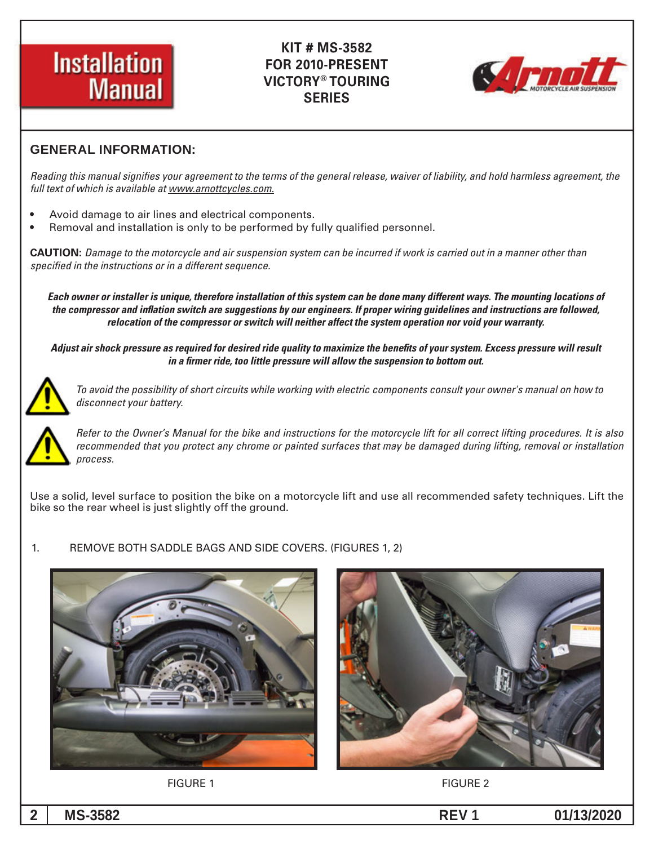



#### **GENERAL INFORMATION:**

Reading this manual signifies your agreement to the terms of the general release, waiver of liability, and hold harmless agreement, the full text of which is available at www.arnottcycles.com.

- Avoid damage to air lines and electrical components.
- Removal and installation is only to be performed by fully qualified personnel.

 *than other manner a in out carried is work if incurred be can system suspension air and motorcycle the to Damage* **:CAUTION** specified in the instructions or in a different sequence.

Each owner or installer is unique, therefore installation of this system can be done many different ways. The mounting locations of the compressor and inflation switch are suggestions by our engineers. If proper wiring guidelines and instructions are followed, relocation of the compressor or switch will neither affect the system operation nor void your warranty.

Adjust air shock pressure as required for desired ride quality to maximize the benefits of your system. Excess pressure will result *in a firmer ride, too little pressure will allow the suspension to bottom out.* 



 *to how on manual s'owner your consult components electric with working while circuits short of possibility the avoid To .battery your disconnect*



*Refer to the Owner's Manual for the bike and instructions for the motorcycle lift for all correct lifting procedures. It is also* recommended that you protect any chrome or painted surfaces that may be damaged during lifting, removal or installation *.process*

Use a solid, level surface to position the bike on a motorcycle lift and use all recommended safety techniques. Lift the bike so the rear wheel is just slightly off the ground.

#### 1. REMOVE BOTH SADDLE BAGS AND SIDE COVERS. (FIGURES 1.2)





**2** FIGURE 1 **FIGURE 2** 

**0 2 0 2 / 3 1 / 1 0 1 REV 2 8 5 3 - MS 2**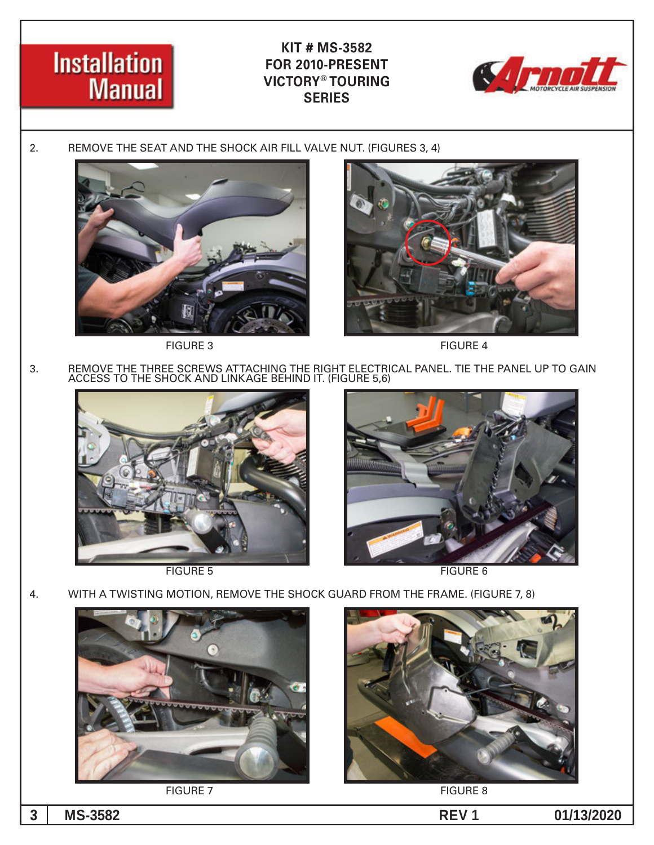



2. REMOVE THE SEAT AND THE SHOCK AIR FILL VALVE NUT. (FIGURES 3, 4)



FIGURE 3 FIGURE 4



GAIN TO UP PANEL THE TIE .PANEL ELECTRICAL RIGHT THE ATTACHING SCREWS THREE THE REMOVE 3. ACCESS TO THE SHOCK AND LINKAGE BEHIND IT. (FIGURE 5,6)





FIGURE 5 FIGURE 5

4. WITH A TWISTING MOTION, REMOVE THE SHOCK GUARD FROM THE FRAME. (FIGURE 7, 8)



FIGURE 7 FIGURE 8



**0 2 0 2 / 3 1 / 1 0 1 REV 2 8 5 3 - MS 3**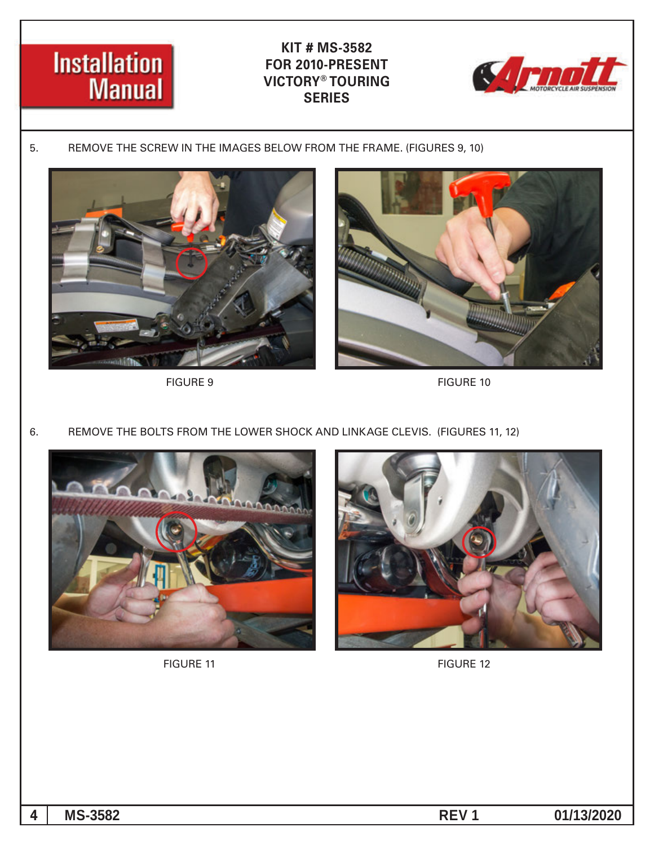



5. REMOVE THE SCREW IN THE IMAGES BELOW FROM THE FRAME. (FIGURES 9, 10)





FIGURE 9 FIGURE 10

6. REMOVE THE BOLTS FROM THE LOWER SHOCK AND LINKAGE CLEVIS. (FIGURES 11, 12)





FIGURE 11 FIGURE 12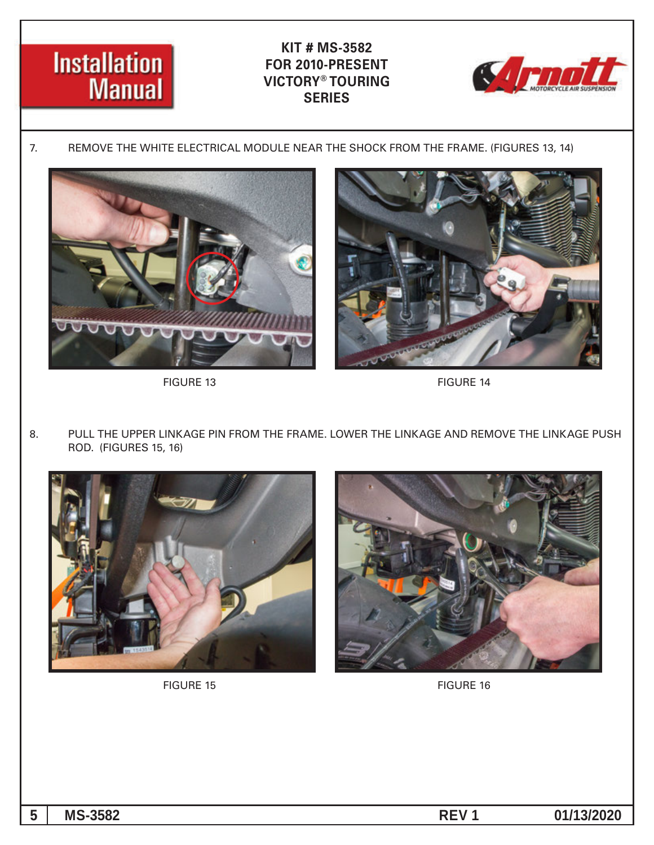



7. REMOVE THE WHITE ELECTRICAL MODULE NEAR THE SHOCK FROM THE FRAME. (FIGURES 13, 14)





FIGURE 13 FIGURE 14

8. PULL THE UPPER LINKAGE PIN FROM THE FRAME. LOWER THE LINKAGE AND REMOVE THE LINKAGE PUSH ROD. (FIGURES 15, 16)



FIGURE 15 FIGURE 16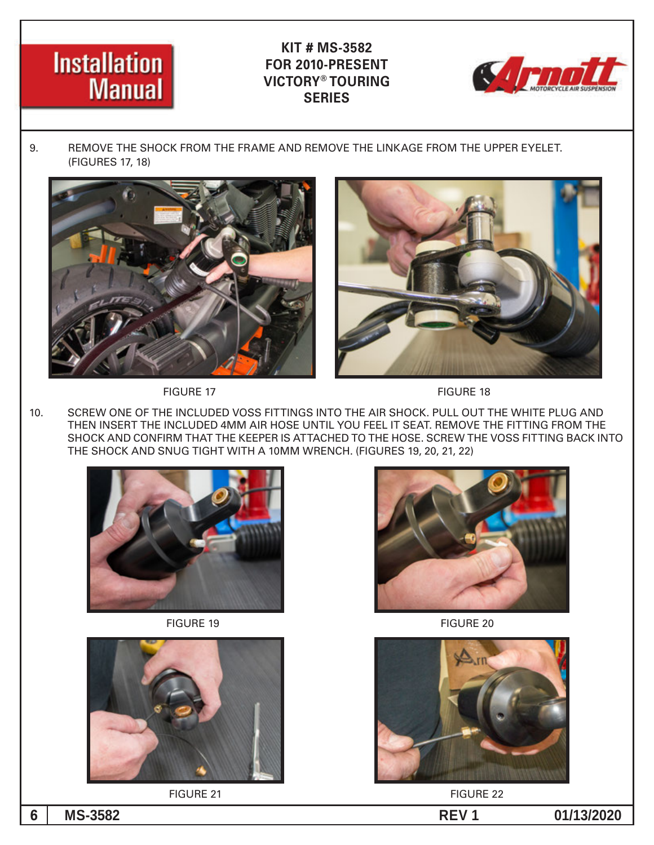# **Installation Manual**

### **KIT # MS-3582 FOR 2010-PRESENT VICTORY® TOURING SERIES**



9. BEMOVE THE SHOCK FROM THE FRAME AND REMOVE THE LINKAGE FROM THE UPPER EYELET. (FIGURES 17, 18)







10. SCREW ONE OF THE INCLUDED VOSS FITTINGS INTO THE AIR SHOCK. PULL OUT THE WHITE PLUG AND THEN INSERT THE INCLUDED 4MM AIR HOSE UNTIL YOU FEEL IT SEAT. REMOVE THE FITTING FROM THE SHOCK AND CONFIRM THAT THE KEEPER IS ATTACHED TO THE HOSE. SCREW THE VOSS FITTING BACK INTO THE SHOCK AND SNUG TIGHT WITH A 10MM WRENCH. (FIGURES 19, 20, 21, 22)





FIGURE 21 FIGURE 22



**20 FIGURE 19 FIGURE 20** 

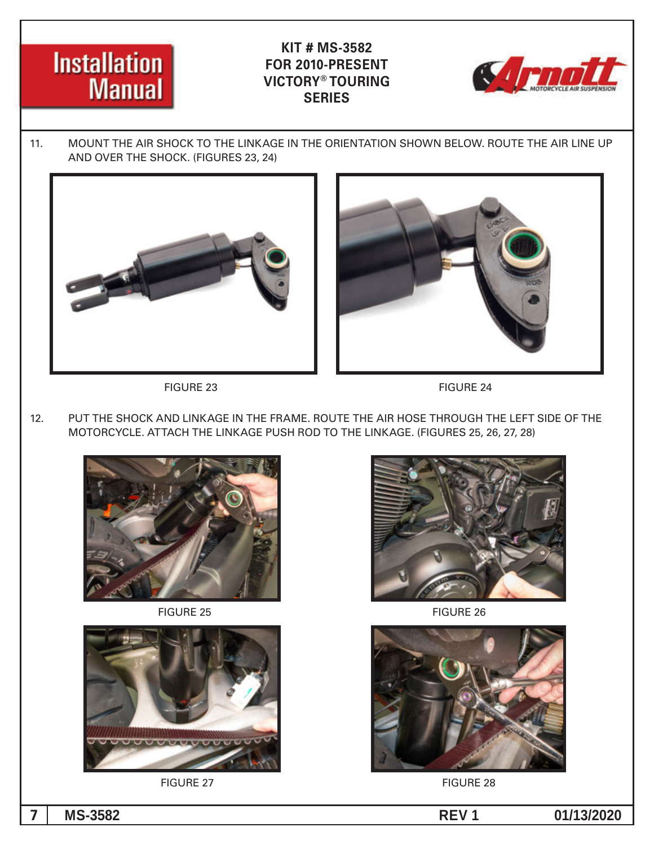



11. MOUNT THE AIR SHOCK TO THE LINKAGE IN THE ORIENTATION SHOWN BELOW. ROUTE THE AIR LINE UP AND OVER THE SHOCK. (FIGURES 23, 24)







12. PUT THE SHOCK AND LINKAGE IN THE FRAME. ROUTE THE AIR HOSE THROUGH THE LEFT SIDE OF THE MOTORCYCLE. ATTACH THE LINKAGE PUSH ROD TO THE LINKAGE. (FIGURES 25, 26, 27, 28)



FIGURE 25 FIGURE 26







FIGURE 27 FIGURE 28